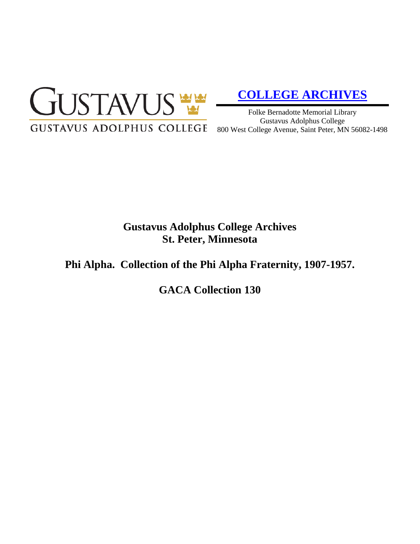

# **[COLLEGE ARCHIVES](http://gustavus.edu/academics/library/archives/)**

Folke Bernadotte Memorial Library Gustavus Adolphus College 800 West College Avenue, Saint Peter, MN 56082-1498

# **Gustavus Adolphus College Archives St. Peter, Minnesota**

# **Phi Alpha. Collection of the Phi Alpha Fraternity, 1907-1957.**

**GACA Collection 130**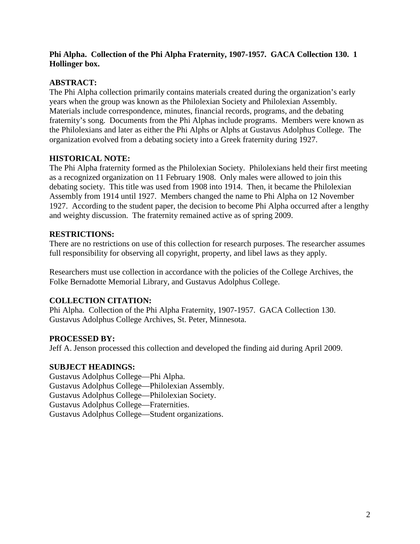## **Phi Alpha. Collection of the Phi Alpha Fraternity, 1907-1957. GACA Collection 130. 1 Hollinger box.**

## **ABSTRACT:**

The Phi Alpha collection primarily contains materials created during the organization's early years when the group was known as the Philolexian Society and Philolexian Assembly. Materials include correspondence, minutes, financial records, programs, and the debating fraternity's song. Documents from the Phi Alphas include programs. Members were known as the Philolexians and later as either the Phi Alphs or Alphs at Gustavus Adolphus College. The organization evolved from a debating society into a Greek fraternity during 1927.

### **HISTORICAL NOTE:**

The Phi Alpha fraternity formed as the Philolexian Society. Philolexians held their first meeting as a recognized organization on 11 February 1908. Only males were allowed to join this debating society. This title was used from 1908 into 1914. Then, it became the Philolexian Assembly from 1914 until 1927. Members changed the name to Phi Alpha on 12 November 1927. According to the student paper, the decision to become Phi Alpha occurred after a lengthy and weighty discussion. The fraternity remained active as of spring 2009.

#### **RESTRICTIONS:**

There are no restrictions on use of this collection for research purposes. The researcher assumes full responsibility for observing all copyright, property, and libel laws as they apply.

Researchers must use collection in accordance with the policies of the College Archives, the Folke Bernadotte Memorial Library, and Gustavus Adolphus College.

#### **COLLECTION CITATION:**

Phi Alpha. Collection of the Phi Alpha Fraternity, 1907-1957. GACA Collection 130. Gustavus Adolphus College Archives, St. Peter, Minnesota.

#### **PROCESSED BY:**

Jeff A. Jenson processed this collection and developed the finding aid during April 2009.

#### **SUBJECT HEADINGS:**

Gustavus Adolphus College—Phi Alpha. Gustavus Adolphus College—Philolexian Assembly. Gustavus Adolphus College—Philolexian Society. Gustavus Adolphus College—Fraternities. Gustavus Adolphus College—Student organizations.